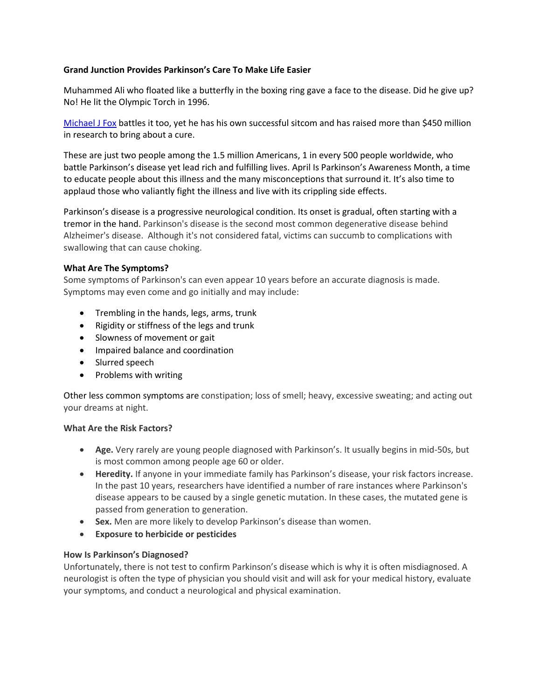# **Grand Junction Provides Parkinson's Care To Make Life Easier**

Muhammed Ali who floated like a butterfly in the boxing ring gave a face to the disease. Did he give up? No! He lit the Olympic Torch in 1996.

[Michael J Fox](https://www.michaeljfox.org/) battles it too, yet he has his own successful sitcom and has raised more than \$450 million in research to bring about a cure.

These are just two people among the 1.5 million Americans, 1 in every 500 people worldwide, who battle Parkinson's disease yet lead rich and fulfilling lives. April Is Parkinson's Awareness Month, a time to educate people about this illness and the many misconceptions that surround it. It's also time to applaud those who valiantly fight the illness and live with its crippling side effects.

Parkinson's disease is a progressive neurological condition. Its onset is gradual, often starting with a tremor in the hand. Parkinson's disease is the second most common degenerative disease behind Alzheimer's disease. Although it's not considered fatal, victims can succumb to complications with swallowing that can cause choking.

# **What Are The Symptoms?**

Some symptoms of Parkinson's can even appear 10 years before an accurate diagnosis is made. Symptoms may even come and go initially and may include:

- Trembling in the hands, legs, arms, trunk
- Rigidity or stiffness of the legs and trunk
- Slowness of movement or gait
- **•** Impaired balance and coordination
- Slurred speech
- Problems with writing

Other less common symptoms are constipation; loss of smell; heavy, excessive sweating; and acting out your dreams at night.

### **What Are the Risk Factors?**

- **Age.** Very rarely are young people diagnosed with Parkinson's. It usually begins in mid-50s, but is most common among people age 60 or older.
- **Heredity.** If anyone in your immediate family has Parkinson's disease, your risk factors increase. In the past 10 years, researchers have identified a number of rare instances where Parkinson's disease appears to be caused by a single genetic mutation. In these cases, the mutated gene is passed from generation to generation.
- **Sex.** Men are more likely to develop Parkinson's disease than women.
- **Exposure to herbicide or pesticides**

### **How Is Parkinson's Diagnosed?**

Unfortunately, there is not test to confirm Parkinson's disease which is why it is often misdiagnosed. A neurologist is often the type of physician you should visit and will ask for your medical history, evaluate your symptoms, and conduct a neurological and physical examination.